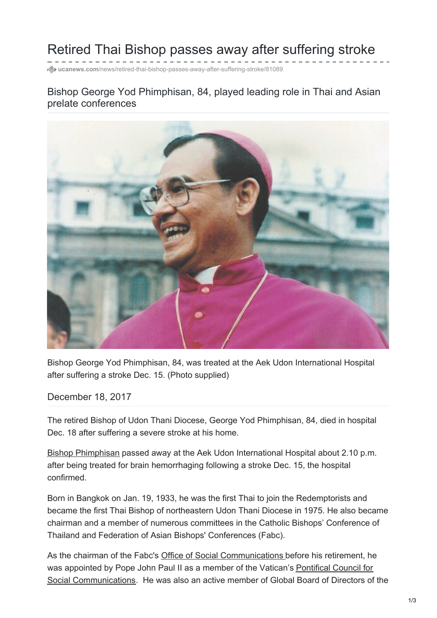# Retired Thai Bishop passes away after suffering stroke

**ucanews.com**[/news/retired-thai-bishop-passes-away-after-suffering-stroke/81089](https://www.ucanews.com/news/retired-thai-bishop-passes-away-after-suffering-stroke/81089)

### Bishop George Yod Phimphisan, 84, played leading role in Thai and Asian prelate conferences



Bishop George Yod Phimphisan, 84, was treated at the Aek Udon International Hospital after suffering a stroke Dec. 15. (Photo supplied)

December 18, 2017

The retired Bishop of Udon Thani Diocese, George Yod Phimphisan, 84, died in hospital Dec. 18 after suffering a severe stroke at his home.

Bishop [Phimphisan](https://www.ucanews.com/story-archive/?post_name=/1993/02/19/bishop-is-first-catholic-chairperson-of-the-thai-bible-society&post_id=42831) passed away at the Aek Udon International Hospital about 2.10 p.m. after being treated for brain hemorrhaging following a stroke Dec. 15, the hospital confirmed.

Born in Bangkok on Jan. 19, 1933, he was the first Thai to join the Redemptorists and became the first Thai Bishop of northeastern Udon Thani Diocese in 1975. He also became chairman and a member of numerous committees in the Catholic Bishops' Conference of Thailand and Federation of Asian Bishops' Conferences (Fabc).

As the chairman of the Fabc's Office of Social [Communications](http://www.fabc.org/offices/osc/osc.html) before his retirement, he was appointed by Pope John Paul II as a member of the Vatican's Pontifical Council for Social [Communications.](http://www.vatican.va/roman_curia/pontifical_councils/pccs/index.htm) He was also an active member of Global Board of Directors of the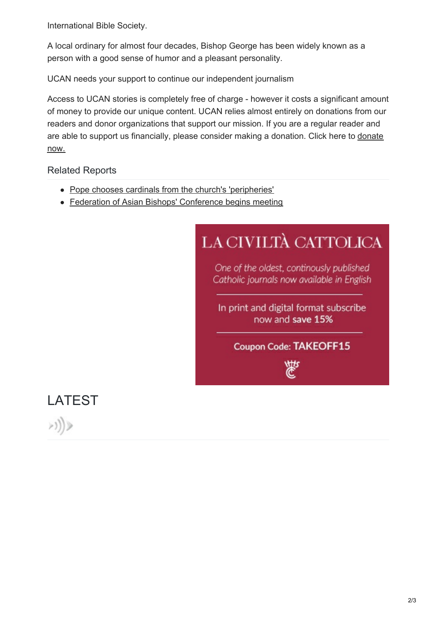#### International Bible Society.

#### A local ordinary for almost four decades, Bishop George has been widely known as a

person with a good sense of humor and a pleasant personality.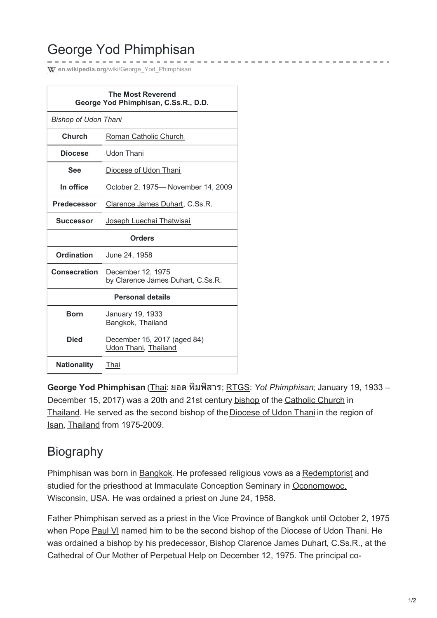# George Yod Phimphisan

**W** en.wikipedia.org/wiki/George Yod Phimphisan

| <b>The Most Reverend</b><br>George Yod Phimphisan, C.Ss.R., D.D. |                                                        |  |
|------------------------------------------------------------------|--------------------------------------------------------|--|
| <b>Bishop of Udon Thani</b>                                      |                                                        |  |
| Church                                                           | Roman Catholic Church                                  |  |
| Diocese                                                          | Udon Thani                                             |  |
| See                                                              | Diocese of Udon Thani                                  |  |
| In office                                                        | October 2, 1975-November 14, 2009                      |  |
| <b>Predecessor</b>                                               | Clarence James Duhart, C.Ss.R.                         |  |
| <b>Successor</b>                                                 | Joseph Luechai Thatwisai                               |  |
| <b>Orders</b>                                                    |                                                        |  |
|                                                                  |                                                        |  |
| <b>Ordination</b>                                                | June 24, 1958                                          |  |
| Consecration                                                     | December 12, 1975<br>by Clarence James Duhart, C.Ss.R. |  |
|                                                                  | <b>Personal details</b>                                |  |
| <b>Born</b>                                                      | January 19, 1933<br>Bangkok, Thailand                  |  |
| <b>Died</b>                                                      | December 15, 2017 (aged 84)<br>Udon Thani, Thailand    |  |

**George Yod Phimphisan** [\(Thai](https://en.wikipedia.org/wiki/Thai_language): ยอด พิมพิสาร; [RTGS](https://en.wikipedia.org/wiki/Royal_Thai_General_System_of_Transcription): *Yot Phimphisan*; January 19, 1933 – December 15, 2017) was a 20th and 21st century [bishop](https://en.wikipedia.org/wiki/Bishop) of the [Catholic](https://en.wikipedia.org/wiki/Catholic_Church) Church in [Thailand](https://en.wikipedia.org/wiki/Thailand). He served as the second bishop of the [Diocese](https://en.wikipedia.org/wiki/Roman_Catholic_Diocese_of_Udon_Thani) of Udon Thani in the region of [Isan](https://en.wikipedia.org/wiki/Isan), [Thailand](https://en.wikipedia.org/wiki/Thailand) from 1975-2009.

## **Biography**

Phimphisan was born in [Bangkok](https://en.wikipedia.org/wiki/Bangkok). He professed religious vows as a [Redemptorist](https://en.wikipedia.org/wiki/Congregation_of_the_Most_Holy_Redeemer) and studied for the priesthood at Immaculate Conception Seminary in [Oconomowoc,](https://en.wikipedia.org/wiki/Oconomowoc,_Wisconsin) Wisconsin, [USA](https://en.wikipedia.org/wiki/United_States). He was ordained a priest on June 24, 1958.

Father Phimphisan served as a priest in the Vice Province of Bangkok until October 2, 1975 when Pope [Paul](https://en.wikipedia.org/wiki/Paul_VI) VI named him to be the second bishop of the Diocese of Udon Thani. He was ordained a bishop by his predecessor, [Bishop](https://en.wikipedia.org/wiki/Bishop) [Clarence](https://en.wikipedia.org/wiki/Clarence_James_Duhart) James Duhart, C.Ss.R., at the Cathedral of Our Mother of Perpetual Help on December 12, 1975. The principal co